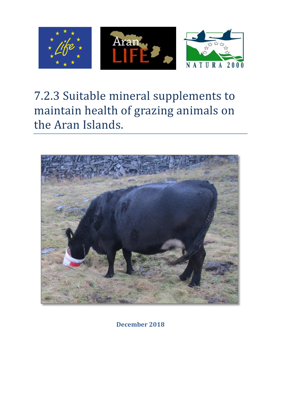

# 7.2.3 Suitable mineral supplements to maintain health of grazing animals on the Aran Islands.



**December 2018**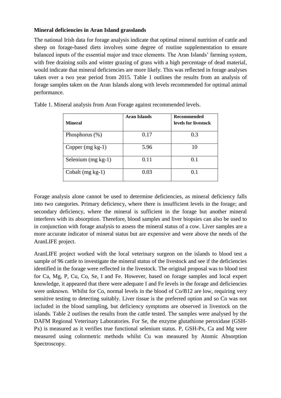### **Mineral deficiencies in Aran Island grasslands**

The national Irish data for forage analysis indicate that optimal mineral nutrition of cattle and sheep on forage-based diets involves some degree of routine supplementation to ensure balanced inputs of the essential major and trace elements. The Aran Islands' farming system, with free draining soils and winter grazing of grass with a high percentage of dead material, would indicate that mineral deficiencies are more likely. This was reflected in forage analyses taken over a two year period from 2015. Table 1 outlines the results from an analysis of forage samples taken on the Aran Islands along with levels recommended for optimal animal performance.

| <b>Mineral</b>       | <b>Aran Islands</b> | <b>Recommended</b><br>levels for livestock |
|----------------------|---------------------|--------------------------------------------|
| Phosphorus $(\%)$    | 0.17                | 0.3                                        |
| Copper $(mg kg-1)$   | 5.96                | 10                                         |
| Selenium $(mg kg-1)$ | 0.11                | 0.1                                        |
| Cobalt $(mg kg-1)$   | 0.03                | 0.1                                        |

Table 1. Mineral analysis from Aran Forage against recommended levels.

Forage analysis alone cannot be used to determine deficiencies, as mineral deficiency falls into two categories. Primary deficiency, where there is insufficient levels in the forage; and secondary deficiency, where the mineral is sufficient in the forage but another mineral interferes with its absorption. Therefore, blood samples and liver biopsies can also be used to in conjunction with forage analysis to assess the mineral status of a cow. Liver samples are a more accurate indicator of mineral status but are expensive and were above the needs of the AranLIFE project.

AranLIFE project worked with the local veterinary surgeon on the islands to blood test a sample of 96 cattle to investigate the mineral status of the livestock and see if the deficiencies identified in the forage were reflected in the livestock. The original proposal was to blood test for Ca, Mg, P, Cu, Co, Se, I and Fe. However, based on forage samples and local expert knowledge, it appeared that there were adequate I and Fe levels in the forage and deficiencies were unknown. Whilst for Co, normal levels in the blood of Co/B12 are low, requiring very sensitive testing to detecting suitably. Liver tissue is the preferred option and so Co was not included in the blood sampling, but deficiency symptoms are observed in livestock on the islands. Table 2 outlines the results from the cattle tested. The samples were analysed by the DAFM Regional Veterinary Laboratories. For Se, the enzyme glutathione peroxidase (GSH-Px) is measured as it verifies true functional selenium status. P, GSH-Px, Ca and Mg were measured using colormetric methods whilst Cu was measured by Atomic Absorption Spectroscopy.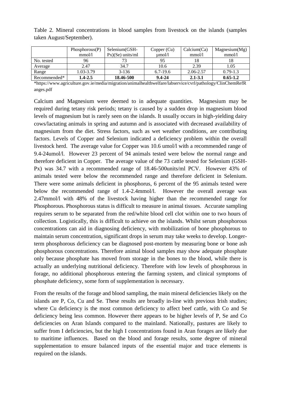|              | Phosphorous(P) | Selenium (GSH-     | Copper $(Cu)$ | Calcium(Ca) | Magnesium(Mg) |
|--------------|----------------|--------------------|---------------|-------------|---------------|
|              | mmol/l         | $Px)(Se)$ units/ml | umol/l        | mmol/l      | mmol/l        |
| No. tested   | 96             |                    |               |             |               |
| Average      | 2.47           | 34.7               | 10.6          | 2.39        | 1.05          |
| Range        | 1.03-3.79      | $3-136$            | $6.7 - 19.6$  | 2.06-2.57   | $0.79 - 1.3$  |
| Recommended* | 1.4-2.5        | 18.46-500          | $9.4 - 24$    | $2.1 - 3.1$ | $0.65 - 1.2$  |

Table 2. Mineral concentrations in blood samples from livestock on the islands (samples taken August/September).

\*https://www.agriculture.gov.ie/media/migration/animalhealthwelfare/labservice/cvrl/pathology/ClinChemRefR anges.pdf

Calcium and Magnesium were deemed to in adequate quantities. Magnesium may be required during tetany risk periods; tetany is caused by a sudden drop in magnesium blood levels of magnesium but is rarely seen on the islands. It usually occurs in high-yielding dairy cows/lactating animals in spring and autumn and is associated with decreased availability of magnesium from the diet. Stress factors, such as wet weather conditions, are contributing factors. Levels of Copper and Selenium indicated a deficiency problem within the overall livestock herd. The average value for Copper was 10.6 umol/l with a recommended range of 9.4-24umol/l. However 23 percent of 94 animals tested were below the normal range and therefore deficient in Copper. The average value of the 73 cattle tested for Selenium (GSH-Px) was 34.7 with a recommended range of 18.46-500units/ml PCV. However 43% of animals tested were below the recommended range and therefore deficient in Selenium. There were some animals deficient in phosphorus, 6 percent of the 95 animals tested were below the recommended range of 1.4-2.4mmol/l. However the overall average was 2.47mmol/l with 48% of the livestock having higher than the recommended range for Phosphorous. Phosphorous status is difficult to measure in animal tissues. Accurate sampling requires serum to be separated from the red/white blood cell clot within one to two hours of collection. Logistically, this is difficult to achieve on the islands. Whilst serum phosphorous concentrations can aid in diagnosing deficiency, with mobilization of bone phosphorous to maintain serum concentration, significant drops in serum may take weeks to develop. Longerterm phosphorous deficiency can be diagnosed post-mortem by measuring bone or bone ash phosphorous concentrations. Therefore animal blood samples may show adequate phosphate only because phosphate has moved from storage in the bones to the blood, while there is actually an underlying nutritional deficiency. Therefore with low levels of phosphorous in forage, no additional phosphorous entering the farming system, and clinical symptoms of phosphate deficiency, some form of supplementation is necessary.

From the results of the forage and blood sampling, the main mineral deficiencies likely on the islands are P, Co, Cu and Se. These results are broadly in-line with previous Irish studies; where Cu deficiency is the most common deficiency to affect beef cattle, with Co and Se deficiency being less common. However there appears to be higher levels of P, Se and Co deficiencies on Aran Islands compared to the mainland. Nationally, pastures are likely to suffer from I deficiencies, but the high I concentrations found in Aran forages are likely due to maritime influences. Based on the blood and forage results, some degree of mineral supplementation to ensure balanced inputs of the essential major and trace elements is required on the islands.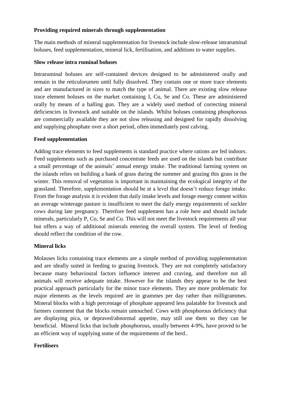### **Providing required minerals through supplementation**

The main methods of mineral supplementation for livestock include slow-release intraruminal boluses, feed supplementation, mineral lick, fertilisation, and additions to water supplies.

#### **Slow release intra ruminal boluses**

Intraruminal boluses are self-contained devices designed to be administered orally and remain in the reticulorumen until fully dissolved. They contain one or more trace elements and are manufactured in sizes to match the type of animal. There are existing slow release trace element boluses on the market containing I, Cu, Se and Co. These are administered orally by means of a balling gun. They are a widely used method of correcting mineral deficiencies in livestock and suitable on the islands. Whilst boluses containing phosphorous are commercially available they are not slow releasing and designed for rapidly dissolving and supplying phosphate over a short period, often immediately post calving.

#### **Feed supplementation**

Adding trace elements to feed supplements is standard practice where rations are fed indoors. Feed supplements such as purchased concentrate feeds are used on the islands but contribute a small percentage of the animals' annual energy intake. The traditional farming system on the islands relies on building a bank of grass during the summer and grazing this grass in the winter. This removal of vegetation is important in maintaining the ecological integrity of the grassland. Therefore, supplementation should be at a level that doesn't reduce forage intake. From the forage analysis it is evident that daily intake levels and forage energy content within an average winterage pasture is insufficient to meet the daily energy requirements of suckler cows during late pregnancy. Therefore feed supplement has a role here and should include minerals, particularly P, Co, Se and Cu. This will not meet the livestock requirements all year but offers a way of additional minerals entering the overall system. The level of feeding should reflect the condition of the cow.

#### **Mineral licks**

Molasses licks containing trace elements are a simple method of providing supplementation and are ideally suited in feeding to grazing livestock. They are not completely satisfactory because many behavioural factors influence interest and craving, and therefore not all animals will receive adequate intake. However for the islands they appear to be the best practical approach particularly for the minor trace elements. They are more problematic for major elements as the levels required are in grammes per day rather than milligrammes. Mineral blocks with a high percentage of phosphate appeared less palatable for livestock and farmers comment that the blocks remain untouched. Cows with phosphorous deficiency that are displaying pica, or depraved/abnormal appetite, may still use them so they can be beneficial. Mineral licks that include phosphorous, usually between 4-9%, have proved to be an efficient way of supplying some of the requirements of the herd..

#### **Fertilisers**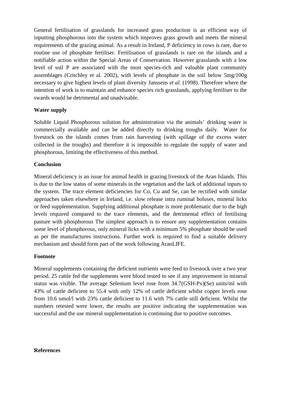General fertilisation of grasslands for increased grass production is an efficient way of inputting phosphorous into the system which improves grass growth and meets the mineral requirements of the grazing animal. As a result in Ireland, P deficiency in cows is rare, due to routine use of phosphate fertiliser. Fertilisation of grasslands is rare on the islands and a notifiable action within the Special Areas of Conservation. However grasslands with a low level of soil P are associated with the most species-rich and valuable plant community assemblages (Critchley et al. 2002), with levels of phosphate in the soil below 5mg/100g necessary to give highest levels of plant diversity Janssens *et al.* (1998)*.* Therefore where the intention of work is to maintain and enhance species rich grasslands, applying fertiliser to the swards would be detrimental and unadvisable.

## **Water supply**

Soluble Liquid Phosphorous solution for administration via the animals' drinking water is commercially available and can be added directly to drinking troughs daily. Water for livestock on the islands comes from rain harvesting (with spillage of the excess water collected in the troughs) and therefore it is impossible to regulate the supply of water and phosphorous, limiting the effectiveness of this method.

#### **Conclusion**

Mineral deficiency is an issue for animal health in grazing livestock of the Aran Islands. This is due to the low status of some minerals in the vegetation and the lack of additional inputs to the system. The trace element deficiencies for Co, Cu and Se, can be rectified with similar approaches taken elsewhere in Ireland, i.e. slow release intra ruminal boluses, mineral licks or feed supplementation. Supplying additional phosphate is more problematic due to the high levels required compared to the trace elements, and the detrimental effect of fertilising pasture with phosphorous The simplest approach is to ensure any supplementation contains some level of phosphorous, only mineral licks with a minimum 5% phosphate should be used as per the manufactures instructions. Further work is required to find a suitable delivery mechanism and should form part of the work following AranLIFE.

#### **Footnote**

Mineral supplements containing the deficient nutrients were feed to livestock over a two year period. 25 cattle fed the supplements were blood tested to see if any improvement in mineral status was visible. The average Selenium level rose from 34.7(GSH-Px)(Se) units/ml with 43% of cattle deficient to 55.4 with only 12% of cattle deficient whilst copper levels rose from 10.6 umol/l with 23% cattle deficient to 11.6 with 7% cattle still deficient. Whilst the numbers retested were lower, the results are positive indicating the supplementation was successful and the use mineral supplementation is continuing due to positive outcomes.

#### **References**